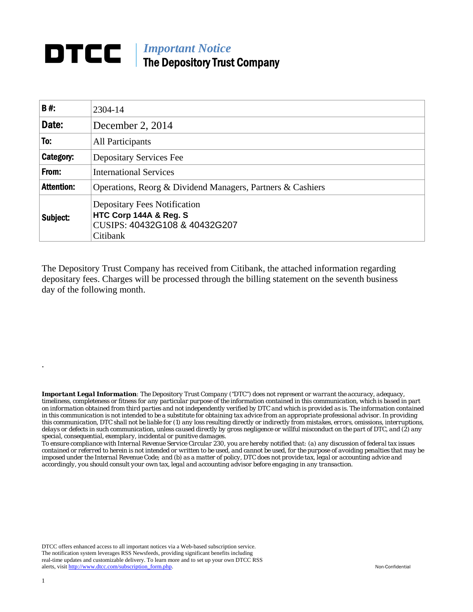## *Important Notice*  The Depository Trust Company

| <b>B#:</b>        | 2304-14                                                                                                    |  |  |
|-------------------|------------------------------------------------------------------------------------------------------------|--|--|
| Date:             | December 2, 2014                                                                                           |  |  |
| To:               | All Participants                                                                                           |  |  |
| Category:         | Depositary Services Fee                                                                                    |  |  |
| From:             | <b>International Services</b>                                                                              |  |  |
| <b>Attention:</b> | Operations, Reorg & Dividend Managers, Partners & Cashiers                                                 |  |  |
| Subject:          | <b>Depositary Fees Notification</b><br>HTC Corp 144A & Reg. S<br>CUSIPS: 40432G108 & 40432G207<br>Citibank |  |  |

The Depository Trust Company has received from Citibank, the attached information regarding depositary fees. Charges will be processed through the billing statement on the seventh business day of the following month.

*Important Legal Information: The Depository Trust Company ("DTC") does not represent or warrant the accuracy, adequacy, timeliness, completeness or fitness for any particular purpose of the information contained in this communication, which is based in part on information obtained from third parties and not independently verified by DTC and which is provided as is. The information contained in this communication is not intended to be a substitute for obtaining tax advice from an appropriate professional advisor. In providing this communication, DTC shall not be liable for (1) any loss resulting directly or indirectly from mistakes, errors, omissions, interruptions, delays or defects in such communication, unless caused directly by gross negligence or willful misconduct on the part of DTC, and (2) any special, consequential, exemplary, incidental or punitive damages.* 

*To ensure compliance with Internal Revenue Service Circular 230, you are hereby notified that: (a) any discussion of federal tax issues contained or referred to herein is not intended or written to be used, and cannot be used, for the purpose of avoiding penalties that may be imposed under the Internal Revenue Code; and (b) as a matter of policy, DTC does not provide tax, legal or accounting advice and accordingly, you should consult your own tax, legal and accounting advisor before engaging in any transaction.*

DTCC offers enhanced access to all important notices via a Web-based subscription service. The notification system leverages RSS Newsfeeds, providing significant benefits including real-time updates and customizable delivery. To learn more and to set up your own DTCC RSS alerts, visit http://www.dtcc.com/subscription\_form.php. Non-Confidential

.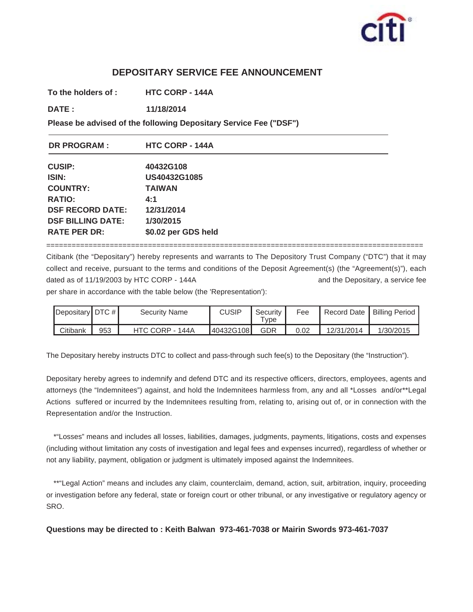

## **DEPOSITARY SERVICE FEE ANNOUNCEMENT**

**To the holders of : HTC CORP - 144A**

**DATE : 11/18/2014 11/18/2014**

**Please be advised of the following Depositary Service Fee ("DSF")**

| <b>DR PROGRAM:</b>       | <b>HTC CORP - 144A</b> |  |  |  |
|--------------------------|------------------------|--|--|--|
| <b>CUSIP:</b>            | 40432G108              |  |  |  |
| ISIN:                    | US40432G1085           |  |  |  |
| <b>COUNTRY:</b>          | <b>TAIWAN</b>          |  |  |  |
| <b>RATIO:</b>            | 4:1                    |  |  |  |
| <b>DSF RECORD DATE:</b>  | 12/31/2014             |  |  |  |
| <b>DSF BILLING DATE:</b> | 1/30/2015              |  |  |  |
| <b>RATE PER DR:</b>      | \$0.02 per GDS held    |  |  |  |

=========================================================================================

Citibank (the "Depositary") hereby represents and warrants to The Depository Trust Company ("DTC") that it may collect and receive, pursuant to the terms and conditions of the Deposit Agreement(s) (the "Agreement(s)"), each dated as of 11/19/2003 by HTC CORP - 144A and the Depositary, a service fee

per share in accordance with the table below (the 'Representation'):

| Depositary DTC # |     | <b>Security Name</b> | CUSIP     | Security<br>$\tau_\mathsf{VDE}$ | Fee  | Record Date | Billing Period |
|------------------|-----|----------------------|-----------|---------------------------------|------|-------------|----------------|
| Citibank         | 953 | HTC CORP - 144A      | 40432G108 | GDR                             | 0.02 | 12/31/2014  | 1/30/2015      |

The Depositary hereby instructs DTC to collect and pass-through such fee(s) to the Depositary (the "Instruction").

Depositary hereby agrees to indemnify and defend DTC and its respective officers, directors, employees, agents and attorneys (the "Indemnitees") against, and hold the Indemnitees harmless from, any and all \*Losses and/or\*\*Legal Actions suffered or incurred by the Indemnitees resulting from, relating to, arising out of, or in connection with the Representation and/or the Instruction.

\*"Losses" means and includes all losses, liabilities, damages, judgments, payments, litigations, costs and expenses (including without limitation any costs of investigation and legal fees and expenses incurred), regardless of whether or not any liability, payment, obligation or judgment is ultimately imposed against the Indemnitees.

\*\*"Legal Action" means and includes any claim, counterclaim, demand, action, suit, arbitration, inquiry, proceeding or investigation before any federal, state or foreign court or other tribunal, or any investigative or regulatory agency or SRO.

**Questions may be directed to : Keith Balwan 973-461-7038 or Mairin Swords 973-461-7037**